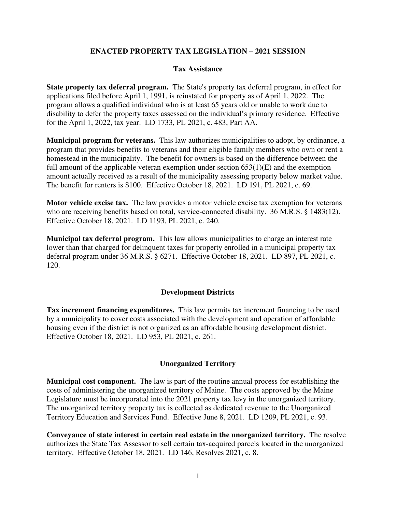# **ENACTED PROPERTY TAX LEGISLATION – 2021 SESSION**

## **Tax Assistance**

**State property tax deferral program.** The State's property tax deferral program, in effect for applications filed before April 1, 1991, is reinstated for property as of April 1, 2022. The program allows a qualified individual who is at least 65 years old or unable to work due to disability to defer the property taxes assessed on the individual's primary residence. Effective for the April 1, 2022, tax year. LD 1733, PL 2021, c. 483, Part AA.

**Municipal program for veterans.** This law authorizes municipalities to adopt, by ordinance, a program that provides benefits to veterans and their eligible family members who own or rent a homestead in the municipality. The benefit for owners is based on the difference between the full amount of the applicable veteran exemption under section  $653(1)(E)$  and the exemption amount actually received as a result of the municipality assessing property below market value. The benefit for renters is \$100. Effective October 18, 2021. LD 191, PL 2021, c. 69.

**Motor vehicle excise tax.** The law provides a motor vehicle excise tax exemption for veterans who are receiving benefits based on total, service-connected disability. 36 M.R.S. § 1483(12). Effective October 18, 2021. LD 1193, PL 2021, c. 240.

**Municipal tax deferral program.** This law allows municipalities to charge an interest rate lower than that charged for delinquent taxes for property enrolled in a municipal property tax deferral program under 36 M.R.S. § 6271. Effective October 18, 2021. LD 897, PL 2021, c. 120.

#### **Development Districts**

**Tax increment financing expenditures.** This law permits tax increment financing to be used by a municipality to cover costs associated with the development and operation of affordable housing even if the district is not organized as an affordable housing development district. Effective October 18, 2021. LD 953, PL 2021, c. 261.

#### **Unorganized Territory**

**Municipal cost component.** The law is part of the routine annual process for establishing the costs of administering the unorganized territory of Maine. The costs approved by the Maine Legislature must be incorporated into the 2021 property tax levy in the unorganized territory. The unorganized territory property tax is collected as dedicated revenue to the Unorganized Territory Education and Services Fund. Effective June 8, 2021. LD 1209, PL 2021, c. 93.

**Conveyance of state interest in certain real estate in the unorganized territory.** The resolve authorizes the State Tax Assessor to sell certain tax-acquired parcels located in the unorganized territory. Effective October 18, 2021. LD 146, Resolves 2021, c. 8.